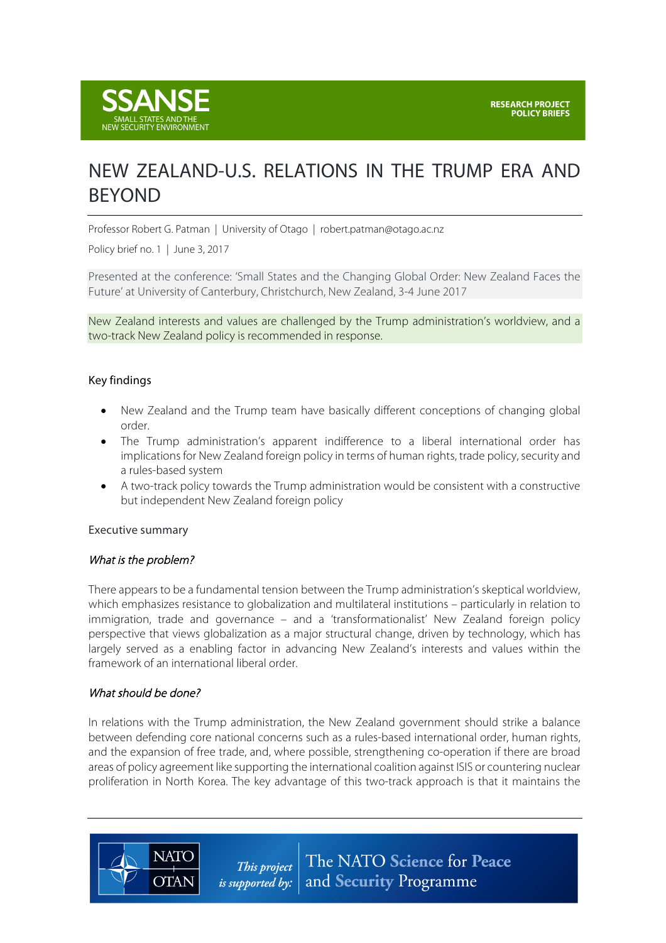

# NEW ZEALAND-U.S. RELATIONS IN THE TRUMP ERA AND BEYOND

Professor Robert G. Patman | University of Otago | robert.patman@otago.ac.nz

Policy brief no. 1 | June 3, 2017

Presented at the conference: 'Small States and the Changing Global Order: New Zealand Faces the Future' at University of Canterbury, Christchurch, New Zealand, 3-4 June 2017

New Zealand interests and values are challenged by the Trump administration's worldview, and a two-track New Zealand policy is recommended in response.

## Key findings

- New Zealand and the Trump team have basically different conceptions of changing global order.
- The Trump administration's apparent indifference to a liberal international order has implications for New Zealand foreign policy in terms of human rights, trade policy, security and a rules-based system
- A two-track policy towards the Trump administration would be consistent with a constructive but independent New Zealand foreign policy

### Executive summary

### What is the problem?

There appears to be a fundamental tension between the Trump administration's skeptical worldview, which emphasizes resistance to globalization and multilateral institutions – particularly in relation to immigration, trade and governance – and a 'transformationalist' New Zealand foreign policy perspective that views globalization as a major structural change, driven by technology, which has largely served as a enabling factor in advancing New Zealand's interests and values within the framework of an international liberal order.

## What should be done?

**NATO** 

**OTAN** 

In relations with the Trump administration, the New Zealand government should strike a balance between defending core national concerns such as a rules-based international order, human rights, and the expansion of free trade, and, where possible, strengthening co-operation if there are broad areas of policy agreement like supporting the international coalition against ISIS or countering nuclear proliferation in North Korea. The key advantage of this two-track approach is that it maintains the

> The NATO Science for Peace This project *is supported by:*  $\vert$  and **Security** Programme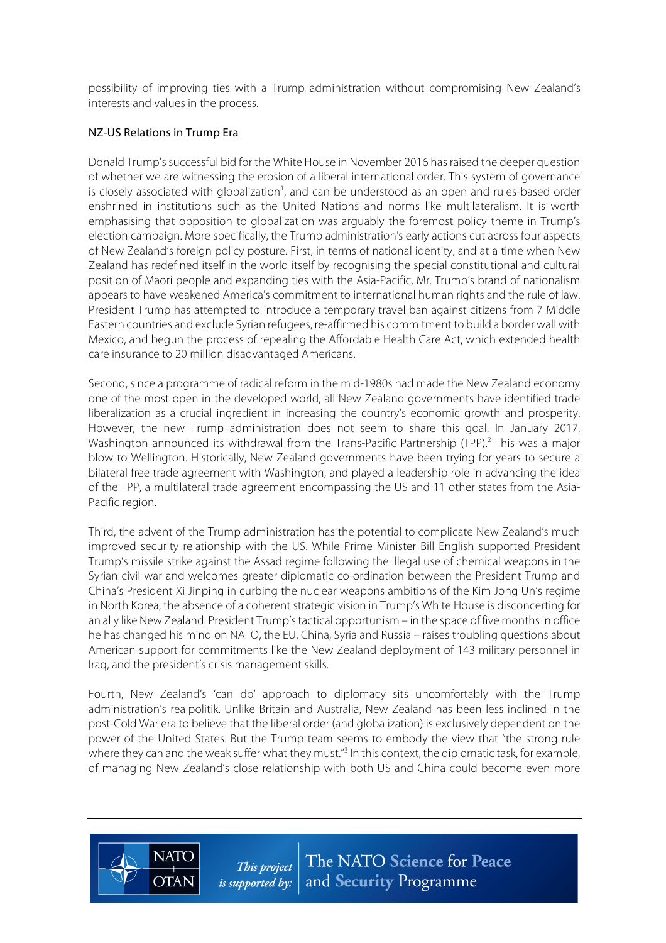possibility of improving ties with a Trump administration without compromising New Zealand's interests and values in the process.

## NZ-US Relations in Trump Era

**NATC** 

**OTAN** 

Donald Trump's successful bid for the White House in November 2016 has raised the deeper question of whether we are witnessing the erosion of a liberal international order. This system of governance is closely associated with globalization<sup>1</sup>, and can be understood as an open and rules-based order enshrined in institutions such as the United Nations and norms like multilateralism. It is worth emphasising that opposition to globalization was arguably the foremost policy theme in Trump's election campaign. More specifically, the Trump administration's early actions cut across four aspects of New Zealand's foreign policy posture. First, in terms of national identity, and at a time when New Zealand has redefined itself in the world itself by recognising the special constitutional and cultural position of Maori people and expanding ties with the Asia-Pacific, Mr. Trump's brand of nationalism appears to have weakened America's commitment to international human rights and the rule of law. President Trump has attempted to introduce a temporary travel ban against citizens from 7 Middle Eastern countries and exclude Syrian refugees, re-affirmed his commitment to build a border wall with Mexico, and begun the process of repealing the Affordable Health Care Act, which extended health care insurance to 20 million disadvantaged Americans.

Second, since a programme of radical reform in the mid-1980s had made the New Zealand economy one of the most open in the developed world, all New Zealand governments have identified trade liberalization as a crucial ingredient in increasing the country's economic growth and prosperity. However, the new Trump administration does not seem to share this goal. In January 2017, Washington announced its withdrawal from the Trans-Pacific Partnership (TPP).<sup>2</sup> This was a major blow to Wellington. Historically, New Zealand governments have been trying for years to secure a bilateral free trade agreement with Washington, and played a leadership role in advancing the idea of the TPP, a multilateral trade agreement encompassing the US and 11 other states from the Asia-Pacific region.

Third, the advent of the Trump administration has the potential to complicate New Zealand's much improved security relationship with the US. While Prime Minister Bill English supported President Trump's missile strike against the Assad regime following the illegal use of chemical weapons in the Syrian civil war and welcomes greater diplomatic co-ordination between the President Trump and China's President Xi Jinping in curbing the nuclear weapons ambitions of the Kim Jong Un's regime in North Korea, the absence of a coherent strategic vision in Trump's White House is disconcerting for an ally like New Zealand. President Trump's tactical opportunism – in the space of five months in office he has changed his mind on NATO, the EU, China, Syria and Russia – raises troubling questions about American support for commitments like the New Zealand deployment of 143 military personnel in Iraq, and the president's crisis management skills.

Fourth, New Zealand's 'can do' approach to diplomacy sits uncomfortably with the Trump administration's realpolitik. Unlike Britain and Australia, New Zealand has been less inclined in the post-Cold War era to believe that the liberal order (and globalization) is exclusively dependent on the power of the United States. But the Trump team seems to embody the view that "the strong rule where they can and the weak suffer what they must."<sup>3</sup> In this context, the diplomatic task, for example, of managing New Zealand's close relationship with both US and China could become even more

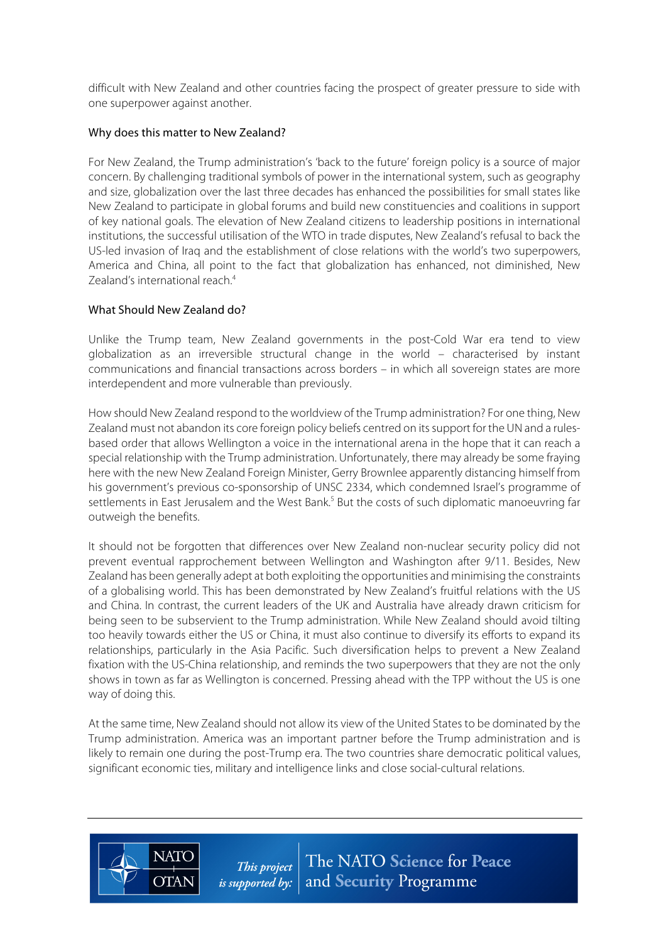difficult with New Zealand and other countries facing the prospect of greater pressure to side with one superpower against another.

## Why does this matter to New Zealand?

For New Zealand, the Trump administration's 'back to the future' foreign policy is a source of major concern. By challenging traditional symbols of power in the international system, such as geography and size, globalization over the last three decades has enhanced the possibilities for small states like New Zealand to participate in global forums and build new constituencies and coalitions in support of key national goals. The elevation of New Zealand citizens to leadership positions in international institutions, the successful utilisation of the WTO in trade disputes, New Zealand's refusal to back the US-led invasion of Iraq and the establishment of close relations with the world's two superpowers, America and China, all point to the fact that globalization has enhanced, not diminished, New Zealand's international reach.4

## What Should New Zealand do?

**NATC** 

**OTAN** 

Unlike the Trump team, New Zealand governments in the post-Cold War era tend to view globalization as an irreversible structural change in the world – characterised by instant communications and financial transactions across borders – in which all sovereign states are more interdependent and more vulnerable than previously.

How should New Zealand respond to the worldview of the Trump administration? For one thing, New Zealand must not abandon its core foreign policy beliefs centred on itssupport for the UN and a rulesbased order that allows Wellington a voice in the international arena in the hope that it can reach a special relationship with the Trump administration. Unfortunately, there may already be some fraying here with the new New Zealand Foreign Minister, Gerry Brownlee apparently distancing himself from his government's previous co-sponsorship of UNSC 2334, which condemned Israel's programme of settlements in East Jerusalem and the West Bank.<sup>5</sup> But the costs of such diplomatic manoeuvring far outweigh the benefits.

It should not be forgotten that differences over New Zealand non-nuclear security policy did not prevent eventual rapprochement between Wellington and Washington after 9/11. Besides, New Zealand has been generally adept at both exploiting the opportunities and minimising the constraints of a globalising world. This has been demonstrated by New Zealand's fruitful relations with the US and China. In contrast, the current leaders of the UK and Australia have already drawn criticism for being seen to be subservient to the Trump administration. While New Zealand should avoid tilting too heavily towards either the US or China, it must also continue to diversify its efforts to expand its relationships, particularly in the Asia Pacific. Such diversification helps to prevent a New Zealand fixation with the US-China relationship, and reminds the two superpowers that they are not the only shows in town as far as Wellington is concerned. Pressing ahead with the TPP without the US is one way of doing this.

At the same time, New Zealand should not allow its view of the United States to be dominated by the Trump administration. America was an important partner before the Trump administration and is likely to remain one during the post-Trump era. The two countries share democratic political values, significant economic ties, military and intelligence links and close social-cultural relations.